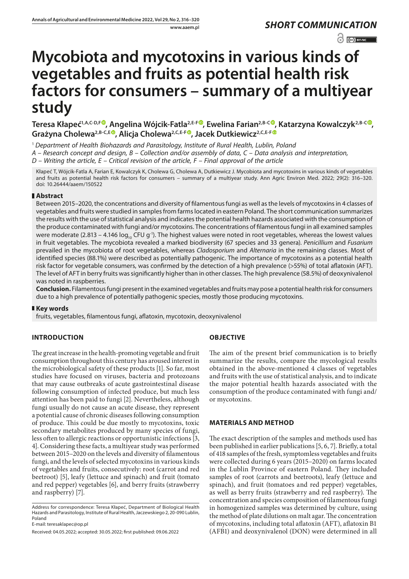# $\odot$   $\odot$  BY-NC

# **Mycobiota and mycotoxins in various kinds of vegetables and fruits as potential health risk factors for consumers – summary of a multiyear study**

**Teresa Kłapeć1,A,C-D,F , Angelina Wójcik-Fatla2,E-F , Ewelina Farian2,B-C [,](https://orcid.org/0000-0003-0135-2959) Katarzyna Kowalczyk2,B-C , Grażyna Cholewa2,B-C,E [,](https://orcid.org/0000-0001-6548-522X) Alicja Cholewa2,C,E-F [,](https://orcid.org/0000-0002-2210-923X) Jacek Dutkiewicz2,C,E-F**

<sup>1</sup> *Department of Health Biohazards and Parasitology, Institute of Rural Health, Lublin, Poland A – Research concept and design, B – Collection and/or assembly of data, C – Data analysis and interpretation, D – Writing the article, E – Critical revision of the article, F – Final approval of the article*

Kłapeć T, Wójcik-Fatla A, Farian E, Kowalczyk K, Cholewa G, Cholewa A, Dutkiewicz J. Mycobiota and mycotoxins in various kinds of vegetables and fruits as potential health risk factors for consumers – summary of a multiyear study. Ann Agric Environ Med. 2022; 29(2): 316–320. doi: 10.26444/aaem/150522

#### **Abstract**

Between 2015–2020, the concentrations and diversity of filamentous fungi as well as the levels of mycotoxins in 4 classes of vegetables and fruits were studied in samples from farms located in eastern Poland. The short communication summarizes the results with the use of statistical analysis and indicates the potential health hazards associated with the consumption of the produce contaminated with fungi and/or mycotoxins. The concentrations of filamentous fungi in all examined samples were moderate (2.813 – 4.146  $log_{10}$  CFU g<sup>-1</sup>). The highest values were noted in root vegetables, whereas the lowest values in fruit vegetables. The mycobiota revealed a marked biodiversity (67 species and 33 genera). *Penicillium* and *Fusarium* prevailed in the mycobiota of root vegetables, whereas *Cladosporium* and *Alternaria* in the remaining classes. Most of identified species (88.1%) were described as potentially pathogenic. The importance of mycotoxins as a potential health risk factor for vegetable consumers, was confirmed by the detection of a high prevalence (>55%) of total aflatoxin (AFT). The level of AFT in berry fruits was significantly higher than in other classes. The high prevalence (58.5%) of deoxynivalenol was noted in raspberries.

**Conclusion.** Filamentous fungi present in the examined vegetables and fruits may pose a potential health risk for consumers due to a high prevalence of potentially pathogenic species, mostly those producing mycotoxins.

#### **Key words**

fruits, vegetables, filamentous fungi, aflatoxin, mycotoxin, deoxynivalenol

## **INTRODUCTION**

The great increase in the health-promoting vegetable and fruit consumption throughout this century has aroused interest in the microbiological safety of these products [1]. So far, most studies have focused on viruses, bacteria and protozoans that may cause outbreaks of acute gastrointestinal disease following consumption of infected produce, but much less attention has been paid to fungi [2]. Nevertheless, although fungi usually do not cause an acute disease, they represent a potential cause of chronic diseases following consumption of produce. This could be due mostly to mycotoxins, toxic secondary metabolites produced by many species of fungi, less often to allergic reactions or opportunistic infections [3, 4]. Considering these facts, a multiyear study was performed between 2015–2020 on the levels and diversity of filamentous fungi, and the levels of selected mycotoxins in various kinds of vegetables and fruits, consecutively: root (carrot and red beetroot) [5], leafy (lettuce and spinach) and fruit (tomato and red pepper) vegetables [6], and berry fruits (strawberry and raspberry) [7].

E-mail: teresaklapec@op.pl

## **OBJECTIVE**

The aim of the present brief communication is to briefly summarize the results, compare the mycological results obtained in the above-mentioned 4 classes of vegetables and fruits with the use of statistical analysis, and to indicate the major potential health hazards associated with the consumption of the produce contaminated with fungi and/ or mycotoxins.

#### **MATERIALS AND METHOD**

The exact description of the samples and methods used has been published in earlier publications [5, 6, 7]. Briefly, a total of 418 samples of the fresh, symptomless vegetables and fruits were collected during 6 years (2015–2020) on farms located in the Lublin Province of eastern Poland. They included samples of root (carrots and beetroots), leafy (lettuce and spinach), and fruit (tomatoes and red pepper) vegetables, as well as berry fruits (strawberry and red raspberry). The concentration and species composition of filamentous fungi in homogenized samples was determined by culture, using the method of plate dilutions on malt agar. The concentration of mycotoxins, including total aflatoxin (AFT), aflatoxin B1 (AFB1) and deoxynivalenol (DON) were determined in all

Address for correspondence: Teresa Kłapeć, Department of Biological Health Hazards and Parasitology, Institute of Rural Health, Jaczewskiego 2, 20-090 Lublin, Poland

Received: 04.05.2022; accepted: 30.05.2022; first published: 09.06.2022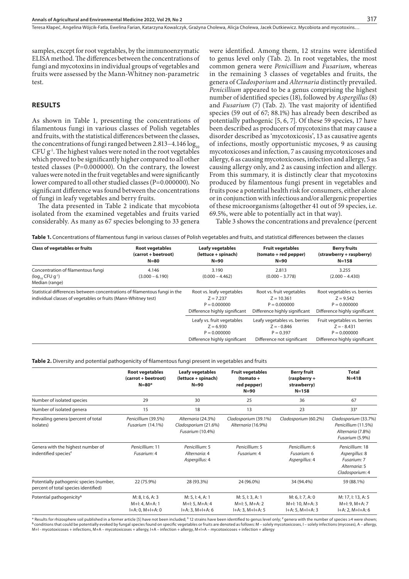samples, except for root vegetables, by the immunoenzymatic ELISA method. The differences between the concentrations of fungi and mycotoxins in individual groups of vegetables and fruits were assessed by the Mann-Whitney non-parametric test.

#### **RESULTS**

As shown in Table 1, presenting the concentrations of filamentous fungi in various classes of Polish vegetables and fruits, with the statistical differences between the classes, the concentrations of fungi ranged between  $2.813 - 4.146 \log_{10}$  $CFU g<sup>-1</sup>$ . The highest values were noted in the root vegetables which proved to be significantly higher compared to all other tested classes (P=0.000000). On the contrary, the lowest values were noted in the fruit vegetables and were significantly lower compared to all other studied classes (P=0.000000). No significant difference was found between the concentrations of fungi in leafy vegetables and berry fruits.

The data presented in Table 2 indicate that mycobiota isolated from the examined vegetables and fruits varied considerably. As many as 67 species belonging to 33 genera

were identified. Among them, 12 strains were identified to genus level only (Tab. 2). In root vegetables, the most common genera were *Penicillium* and *Fusarium*, whereas in the remaining 3 classes of vegetables and fruits, the genera of *Cladosporium* and *Alternaria* distinctly prevailed. *Penicillium* appeared to be a genus comprising the highest number of identified species (18), followed by *Aspergillus* (8) and *Fusarium* (7) (Tab. 2). The vast majority of identified species (59 out of 67; 88.1%) has already been described as potentially pathogenic [5, 6, 7]. Of these 59 species, 17 have been described as producers of mycotoxins that may cause a disorder described as 'mycotoxicosis', 13 as causative agents of infections, mostly opportunistic mycoses, 9 as causing mycotoxicoses and infection, 7 as causing mycotoxicoses and allergy, 6 as causing mycotoxicoses, infection and allergy, 5 as causing allergy only, and 2 as causing infection and allergy. From this summary, it is distinctly clear that mycotoxins produced by filamentous fungi present in vegetables and fruits pose a potential health risk for consumers, either alone or in conjunction with infectious and/or allergenic properties of these microorganisms (altogether 41 out of 59 species, i.e. 69.5%, were able to potentially act in that way).

Table 3 shows the concentrations and prevalence (percent

|  |  | Table 1. Concentrations of filamentous fungi in various classes of Polish vegetables and fruits, and statistical differences between the classes |  |
|--|--|--------------------------------------------------------------------------------------------------------------------------------------------------|--|
|  |  |                                                                                                                                                  |  |

| <b>Class of vegetables or fruits</b>                                                       | <b>Root vegetables</b><br>(carrot + beetroot)<br>$N = 80$                                                                                                                     | <b>Leafy vegetables</b><br>(lettuce + spinach)<br>$N=90$                                     | <b>Fruit vegetables</b><br>(tomato + red pepper)<br>$N=90$                                   | <b>Berry fruits</b><br>(strawberry + raspberry)<br>$N = 158$                                    |
|--------------------------------------------------------------------------------------------|-------------------------------------------------------------------------------------------------------------------------------------------------------------------------------|----------------------------------------------------------------------------------------------|----------------------------------------------------------------------------------------------|-------------------------------------------------------------------------------------------------|
| Concentration of filamentous fungi<br>$(\log_{10}$ CFU g <sup>-1</sup> )<br>Median (range) | 4.146<br>$(3.000 - 6.190)$                                                                                                                                                    | 3.190<br>$(0.000 - 4.462)$                                                                   | 2.813<br>$(0.000 - 3.778)$                                                                   | 3.255<br>$(2.000 - 4.430)$                                                                      |
|                                                                                            | Statistical differences between concentrations of filamentous fungi in the<br>individual classes of vegetables or fruits (Mann-Whitney test)<br>Difference highly significant |                                                                                              | Root vs. fruit vegetables<br>$Z = 10.361$<br>$P = 0.000000$<br>Difference highly significant | Root vegetables vs. berries<br>$Z = 9.542$<br>$P = 0.000000$<br>Difference highly significant   |
|                                                                                            |                                                                                                                                                                               | Leafy vs. fruit vegetables<br>$Z = 6.930$<br>$P = 0.000000$<br>Difference highly significant | Leafy vegetables vs. berries<br>$Z = -0.846$<br>$P = 0.397$<br>Difference not significant    | Fruit vegetables vs. berries<br>$Z = -8.431$<br>$P = 0.000000$<br>Difference highly significant |

**Table 2.** Diversity and potential pathogenicity of filamentous fungi present in vegetables and fruits

|                                                                                 | <b>Root vegetables</b><br>(carrot + beetroot)<br>$N = 80*$ | <b>Leafy vegetables</b><br>(lettuce + spinach)<br>$N = 90$     | <b>Fruit vegetables</b><br>$(tomato +$<br>red pepper)<br>$N=90$ | <b>Berry fruit</b><br>$(raspberry +$<br>strawberry)<br>$N = 158$ | <b>Total</b><br>$N = 418$                                                            |
|---------------------------------------------------------------------------------|------------------------------------------------------------|----------------------------------------------------------------|-----------------------------------------------------------------|------------------------------------------------------------------|--------------------------------------------------------------------------------------|
| Number of isolated species                                                      | 29                                                         | 30                                                             | 25                                                              | 36                                                               | 67                                                                                   |
| Number of isolated genera                                                       | 15                                                         | 18                                                             | 13                                                              | 23                                                               | $33*$                                                                                |
| Prevailing genera (percent of total<br>isolates)                                | Penicillium (39.5%)<br>Fusarium (14.1%)                    | Alternaria (24.3%)<br>Cladosporium (21.6%)<br>Fusarium (10.4%) | Cladosporium (39.1%)<br>Alternaria (16.9%)                      | Cladosporium (60.2%)                                             | Cladosporium (33.7%)<br>Penicillium (11.5%)<br>Alternaria (7.8%)<br>Fusarium (5.9%)  |
| Genera with the highest number of<br>indentified species <sup>#</sup>           | Penicillium: 11<br>Fusarium: 4                             | Penicillium: 5<br>Alternaria: 4<br>Aspergillus: 4              | Penicillium: 5<br>Fusarium: 4                                   | Penicillium: 6<br>Fusarium: 6<br>Aspergillus: 4                  | Penicillium: 18<br>Aspergillus: 8<br>Fusarium: 7<br>Alternaria: 5<br>Cladosporium: 4 |
| Potentially pathogenic species (number,<br>percent of total species identified) | 22 (75.9%)                                                 | 28 (93.3%)                                                     | 24 (96.0%)                                                      | 34 (94.4%)                                                       | 59 (88.1%)                                                                           |
| Potential pathogenicity <sup>&amp;</sup>                                        | M: 8, I: 6, A: 3<br>M+I: 4, M+A: 1<br>$I+A: 0, M+I+A: 0$   | M: 5, I: 4, A: 1<br>$M+1: 5, M+A: 4$<br>$I+A:3, M+I+A:6$       | M: 5, I: 3, A: 1<br>$M+1: 5, M+A: 2$<br>$I+A:3, M+I+A:5$        | M: 6, I: 7, A: 0<br>M+I: 10, M+A: 3<br>$I+A: 5, M+I+A: 3$        | M: 17, I: 13, A: 5<br>M+I: 9, M+A: 7<br>$I+A: 2, M+I+A: 6$                           |

\* Results for rhizosphere soil published in a former article [5] have not been included; <sup>¥</sup> 12 strains have been identified to genus level only; <sup>#</sup> genera with the number of species ≥4 were shown;<br><sup>&</sup> conditions that co M+I - mycotoxicoses + infections, M+A – mycotoxicoses + allergy, I+A – infection + allergy, M+I+A – mycotoxicoses + infection + allergy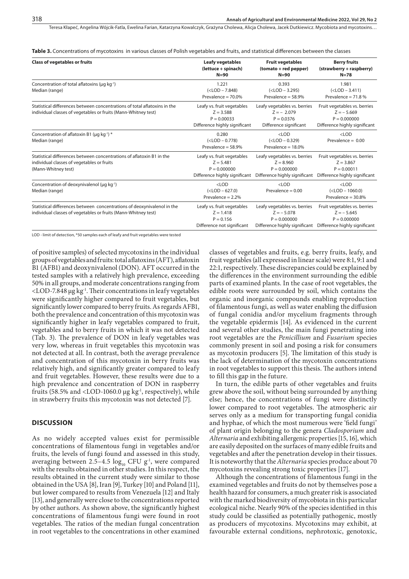Teresa Kłapeć, Angelina Wójcik-Fatla, Ewelina Farian, Katarzyna Kowalczyk, Grażyna Cholewa, Alicia Cholewa, Jacek Dutkiewicz, Mycobiota and mycotoxins…

**Table 3.** Concentrations of mycotoxins in various classes of Polish vegetables and fruits, and statistical differences between the classes

| <b>Class of vegetables or fruits</b>                                                                                                        | <b>Leafy vegetables</b><br>(lettuce + spinach)<br>$N=90$                                     | <b>Fruit vegetables</b><br>(tomato + red pepper)<br>$N=90$                                     | <b>Berry fruits</b><br>(strawberry + raspberry)<br>$N=78$                                                                     |
|---------------------------------------------------------------------------------------------------------------------------------------------|----------------------------------------------------------------------------------------------|------------------------------------------------------------------------------------------------|-------------------------------------------------------------------------------------------------------------------------------|
| Concentration of total aflatoxins (µg kg <sup>-1</sup> )<br>Median (range)                                                                  | 1.221<br>$(<$ LOD $- 7.848)$<br>Prevalence = $70.0\%$                                        | 0.393<br>$(<$ LOD $-$ 3.295)<br>Prevalence = $58.9\%$                                          | 1.981<br>$(<$ LOD $-$ 3.411)<br>Prevalence $= 71.8 %$                                                                         |
| Statistical differences between concentrations of total aflatoxins in the<br>individual classes of vegetables or fruits (Mann-Whitney test) | Leafy vs. fruit vegetables<br>$Z = 3.588$<br>$P = 0.00033$<br>Difference highly significant  | Leafy vegetables vs. berries<br>$Z = -2.079$<br>$P = 0.0376$<br>Difference significant         | Fruit vegetables vs. berries<br>$Z = -5.669$<br>$P = 0.000000$<br>Difference highly significant                               |
| Concentration of aflatoxin B1 ( $\mu$ g kg <sup>-1</sup> ) *<br>Median (range)                                                              | 0.280<br>$(<$ LOD $- 0.778)$<br>Prevalence = $58.9\%$                                        | $<$ LOD<br>$(<$ LOD $- 0.329)$<br>Prevalence $= 18.0\%$                                        | $<$ LOD<br>Prevalence = $0.00$                                                                                                |
| Statistical differences between concentrations of aflatoxin B1 in the<br>individual classes of vegetables or fruits<br>(Mann-Whitney test)  | Leafy vs. fruit vegetables<br>$Z = 5.481$<br>$P = 0.000000$<br>Difference highly significant | Leafy vegetables vs. berries<br>$Z = 8.960$<br>$P = 0.000000$<br>Difference highly significant | Fruit vegetables vs. berries<br>$Z = 3.867$<br>$P = 0.00011$<br>Difference highly significant                                 |
| Concentration of deoxynivalenol (µq kg <sup>-1</sup> )<br>Median (range)                                                                    | $<$ LOD<br>$(<$ LOD $-627.0)$<br>Prevalence $= 2.2%$                                         | $<$ LOD<br>Prevalence = $0.00$                                                                 | $<$ LOD<br>$(<$ LOD $- 1060.0)$<br>Prevalence = $30.8\%$                                                                      |
| Statistical differences between concentrations of deoxynivalenol in the<br>individual classes of vegetables or fruits (Mann-Whitney test)   | Leafy vs. fruit vegetables<br>$Z = 1.418$<br>$P = 0.156$<br>Difference not significant       | Leafy vegetables vs. berries<br>$Z = -5.078$<br>$P = 0.000000$                                 | Fruit vegetables vs. berries<br>$Z = -5.645$<br>$P = 0.000000$<br>Difference highly significant Difference highly significant |

LOD - limit of detection, \*50 samples each of leafy and fruit vegetables were tested

of positive samples) of selected mycotoxins in the individual groups of vegetables and fruits: total aflatoxins (AFT), aflatoxin B1 (AFB1) and deoxynivalenol (DON). AFT occurred in the tested samples with a relatively high prevalence, exceeding 50% in all groups, and moderate concentrations ranging from  $\langle$ LOD-7.848 µg  $kg<sup>-1</sup>$ . Their concentrations in leafy vegetables were significantly higher compared to fruit vegetables, but significantly lower compared to berry fruits. As regards AFB1, both the prevalence and concentration of this mycotoxin was significantly higher in leafy vegetables compared to fruit, vegetables and to berry fruits in which it was not detected (Tab. 3). The prevalence of DON in leafy vegetables was very low, whereas in fruit vegetables this mycotoxin was not detected at all. In contrast, both the average prevalence and concentration of this mycotoxin in berry fruits was relatively high, and significantly greater compared to leafy and fruit vegetables. However, these results were due to a high prevalence and concentration of DON in raspberry fruits (58.5% and <LOD-1060.0  $\mu$ g kg<sup>-1</sup>, respectively), while in strawberry fruits this mycotoxin was not detected [7].

#### **DISCUSSION**

As no widely accepted values exist for permissible concentrations of filamentous fungi in vegetables and/or fruits, the levels of fungi found and assessed in this study, averaging between 2.5-4.5  $log_{10}$  CFU g<sup>-1</sup>, were compared with the results obtained in other studies. In this respect, the results obtained in the current study were similar to those obtained in the USA [8], Iran [9], Turkey [10] and Poland [11], but lower compared to results from Venezuela [12] and Italy [13], and generally were close to the concentrations reported by other authors. As shown above, the significantly highest concentrations of filamentous fungi were found in root vegetables. The ratios of the median fungal concentration in root vegetables to the concentrations in other examined

classes of vegetables and fruits, e.g. berry fruits, leafy, and fruit vegetables (all expressed in linear scale) were 8:1, 9:1 and 22:1, respectively. These discrepancies could be explained by the differences in the environment surrounding the edible parts of examined plants. In the case of root vegetables, the edible roots were surrounded by soil, which contains the organic and inorganic compounds enabling reproduction of filamentous fungi, as well as water enabling the diffusion of fungal conidia and/or mycelium fragments through the vegetable epidermis [14]. As evidenced in the current and several other studies, the main fungi penetrating into root vegetables are the *Penicillium* and *Fusarium* species commonly present in soil and posing a risk for consumers as mycotoxin producers [5]. The limitation of this study is the lack of determination of the mycotoxin concentrations in root vegetables to support this thesis. The authors intend to fill this gap in the future.

In turn, the edible parts of other vegetables and fruits grew above the soil, without being surrounded by anything else; hence, the concentrations of fungi were distinctly lower compared to root vegetables. The atmospheric air serves only as a medium for transporting fungal conidia and hyphae, of which the most numerous were 'field fungi' of plant origin belonging to the genera *Cladosporium* and *Alternaria* and exhibiting allergenic properties [15, 16], which are easily deposited on the surfaces of many edible fruits and vegetables and after the penetration develop in their tissues. It is noteworthy that the *Alternaria* species produce about 70 mycotoxins revealing strong toxic properties [17].

Although the concentrations of filamentous fungi in the examined vegetables and fruits do not by themselves pose a health hazard for consumers, a much greater risk is associated with the marked biodiversity of mycobiota in this particular ecological niche. Nearly 90% of the species identified in this study could be classified as potentially pathogenic, mostly as producers of mycotoxins. Mycotoxins may exhibit, at favourable external conditions, nephrotoxic, genotoxic,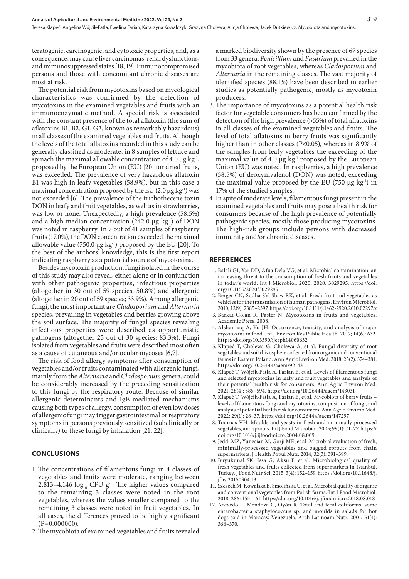Teresa Kłapeć, Angelina Wójcik-Fatla, Ewelina Farian, Katarzyna Kowalczyk, Grażyna Cholewa, Alicia Cholewa, Jacek Dutkiewicz, Mycobiota and mycotoxins...

teratogenic, carcinogenic, and cytotoxic properties, and, as a consequence, may cause liver carcinomas, renal dysfunctions, and immunosuppressed states [18, 19]. Immunocompromised persons and those with concomitant chronic diseases are most at risk.

The potential risk from mycotoxins based on mycological characteristics was confirmed by the detection of mycotoxins in the examined vegetables and fruits with an immunoenzymatic method. A special risk is associated with the constant presence of the total aflatoxin (the sum of aflatoxins B1, B2, G1, G2, known as remarkably hazardous) in all classes of the examined vegetables and fruits. Although the levels of the total aflatoxins recorded in this study can be generally classified as moderate, in 8 samples of lettuce and spinach the maximal allowable concentration of 4.0  $\mu$ g kg<sup>-1</sup>, proposed by the European Union (EU) [20] for dried fruits, was exceeded. The prevalence of very hazardous aflatoxin B1 was high in leafy vegetables (58.9%), but in this case a maximal concentration proposed by the EU  $(2.0 \,\mu g \,\text{kg}^{-1})$  was not exceeded [6]. The prevalence of the trichothecene toxin DON in leafy and fruit vegetables, as well as in strawberries, was low or none. Unexpectedly, a high prevalence (58.5%) and a high median concentration  $(242.0 \text{ µg kg}^{-1})$  of DON was noted in raspberry. In 7 out of 41 samples of raspberry fruits (17.0%), the DON concentration exceeded the maximal allowable value (750.0  $\mu$ g kg<sup>-1</sup>) proposed by the EU [20]. To the best of the authors' knowledge, this is the first report indicating raspberry as a potential source of mycotoxins.

Besides mycotoxin production, fungi isolated in the course of this study may also reveal, either alone or in conjunction with other pathogenic properties, infectious properties (altogether in 30 out of 59 species; 50.8%) and allergenic (altogether in 20 out of 59 species; 33.9%). Among allergenic fungi, the most important are *Cladosporium* and *Alternaria* species, prevailing in vegetables and berries growing above the soil surface. The majority of fungal species revealing infectious properties were described as opportunistic pathogens (altogether 25 out of 30 species; 83.3%). Fungi isolated from vegetables and fruits were described most often as a cause of cutaneous and/or ocular mycoses [6,7].

The risk of food allergy symptoms after consumption of vegetables and/or fruits contaminated with allergenic fungi, mainly from the *Alternaria* and *Cladosporium* genera, could be considerably increased by the preceding sensitization to this fungi by the respiratory route. Because of similar allergenic determinants and IgE-mediated mechanisms causing both types of allergy, consumption of even low doses of allergenic fungi may trigger gastrointestinal or respiratory symptoms in persons previously sensitized (subclinically or clinically) to these fungi by inhalation [21, 22].

#### **CONCLUSIONS**

- 1. The concentrations of filamentous fungi in 4 classes of vegetables and fruits were moderate, ranging between 2.813–4.146  $log_{10}$  CFU g<sup>-1</sup>. The higher values compared to the remaining 3 classes were noted in the root vegetables, whereas the values smaller compared to the remaining 3 classes were noted in fruit vegetables. In all cases, the differences proved to be highly significant  $(P=0.000000)$ .
- 2.The mycobiota of examined vegetables and fruits revealed

a marked biodiversity shown by the presence of 67 species from 33 genera. *Penicillium* and *Fusarium* prevailed in the mycobiota of root vegetables, whereas *Cladosporium* and *Alternaria* in the remaining classes. The vast majority of identified species (88.1%) have been described in earlier studies as potentially pathogenic, mostly as mycotoxin producers.

- 3. The importance of mycotoxins as a potential health risk factor for vegetable consumers has been confirmed by the detection of the high prevalence (>55%) of total aflatoxins in all classes of the examined vegetables and fruits. The level of total aflatoxins in berry fruits was significantly higher than in other classes (P<0.05), whereas in 8.9% of the samples from leafy vegetables the exceeding of the maximal value of 4.0  $\mu$ g kg<sup>-1</sup> proposed by the European Union (EU) was noted. In raspberries, a high prevalence (58.5%) of deoxynivalenol (DON) was noted, exceeding the maximal value proposed by the EU (750  $\mu$ g kg<sup>-1</sup>) in 17% of the studied samples.
- 4. In spite of moderate levels, filamentous fungi present in the examined vegetables and fruits may pose a health risk for consumers because of the high prevalence of potentially pathogenic species, mostly those producing mycotoxins. The high-risk groups include persons with decreased immunity and/or chronic diseases.

#### **REFERENCES**

- 1. Balali GI, Yar DD, Afua Dela VG, et al. Microbial contamination, an increasing threat to the consumption of fresh fruits and vegetables in today's world. Int J Microbiol. 2020; 2020: 3029295. https://doi. org/10.1155/2020/3029295
- 2. Berger CN, Sodha SV, Shaw RK, et al. Fresh fruit and vegetables as vehicles for the transmission of human pathogens. Environ Microbiol. 2010; 12(9): 2385–2397. https://doi.org/10.1111/j.1462-2920.2010.02297.x
- 3. Barkai-Golan R, Paster N. Mycotoxins in fruits and vegetables. Academic Press, 2008.
- 4. Alshannaq A, Yu JH. Occurrence, toxicity, and analysis of major mycotoxins in food. Int J Environ Res Public Health. 2017; 14(6): 632. https://doi.org/10.3390/ijerph14060632
- 5. Kłapeć T, Cholewa G, Cholewa A, et al. Fungal diversity of root vegetables and soil rhizosphere collected from organic and conventional farms in Eastern Poland. Ann Agric Environ Med. 2018; 25(2): 374–381. https://doi.org/10.26444/aaem/92143
- 6. Kłapeć T, Wójcik-Fatla A, Farian E, et al. Levels of filamentous fungi and selected mycotoxins in leafy and fruit vegetables and analysis of their potential health risk for consumers. Ann Agric Environ Med. 2021; 28(4): 585–594. https://doi.org/10.26444/aaem/143031
- 7. Kłapeć T, Wójcik-Fatla A, Farian E, et al. Mycobiota of berry fruits levels of filamentous fungi and mycotoxins, composition of fungi, and analysis of potential health risk for consumers. Ann Agric Environ Med. 2022; 29(1): 28–37. https://doi.org/10.26444/aaem/147297
- 8. Tournas VH. Moulds and yeasts in fresh and minimally processed vegetables, and sprouts. Int J Food Microbiol. 2005; 99(1): 71–77. https:// doi.org/10.1016/j.ijfoodmicro.2004.08.009
- 9. Jeddi MZ, Yunesian M, Gorji ME, et al. Microbial evaluation of fresh, minimally-processed vegetables and bagged sprouts from chain supermarkets. J Health Popul Nutr. 2014; 32(3): 391–399.
- 10. Buyukunal SK, Issa G, Aksu F, et al. Microbiological quality of fresh vegetables and fruits collected from supermarkets in Istanbul, Turkey. J Food Nutr Sci. 2015; 3(4): 152–159. https://doi.org/10.11648/j. jfns.20150304.13
- 11. Szczech M, Kowalska B, Smolińska U, et al. Microbial quality of organic and conventional vegetables from Polish farms. Int J Food Microbiol. 2018; 286: 155–161. https://doi.org/10.1016/j.ijfoodmicro.2018.08.018
- 12. Acevedo L, Mendoza C, Oyón R. Total and fecal coliforms, some enterobacteria staphylococcus sp. and moulds in salads for hot dogs sold in Maracay, Venezuela. Arch Latinoam Nutr. 2001; 51(4): 366–370.